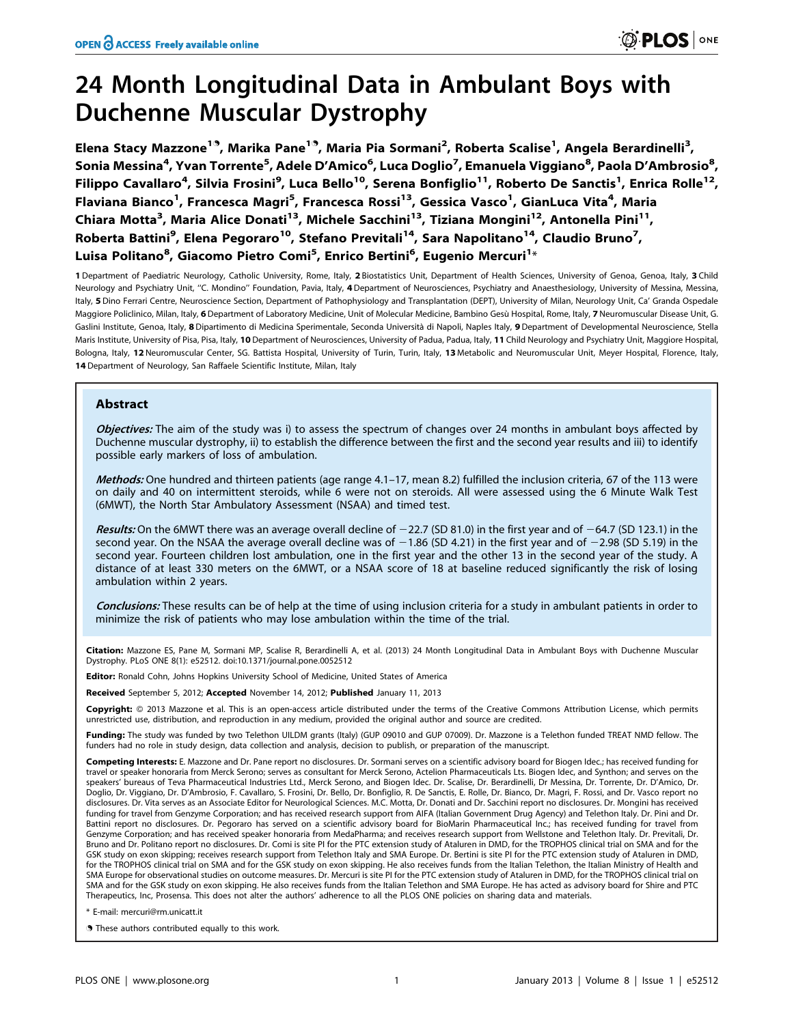# 24 Month Longitudinal Data in Ambulant Boys with Duchenne Muscular Dystrophy

Elena Stacy Mazzone<sup>19</sup>, Marika Pane<sup>19</sup>, Maria Pia Sormani<sup>2</sup>, Roberta Scalise<sup>1</sup>, Angela Berardinelli<sup>3</sup>, Sonia Messina<sup>4</sup>, Yvan Torrente<sup>5</sup>, Adele D'Amico<sup>6</sup>, Luca Doglio<sup>7</sup>, Emanuela Viggiano<sup>8</sup>, Paola D'Ambrosio<sup>8</sup>, Filippo Cavallaro<sup>4</sup>, Silvia Frosini<sup>9</sup>, Luca Bello<sup>10</sup>, Serena Bonfiglio<sup>11</sup>, Roberto De Sanctis<sup>1</sup>, Enrica Rolle<sup>12</sup>, Flaviana Bianco<sup>1</sup>, Francesca Magri<sup>5</sup>, Francesca Rossi<sup>13</sup>, Gessica Vasco<sup>1</sup>, GianLuca Vita<sup>4</sup>, Maria Chiara Motta<sup>3</sup>, Maria Alice Donati<sup>13</sup>, Michele Sacchini<sup>13</sup>, Tiziana Mongini<sup>12</sup>, Antonella Pini<sup>11</sup>, Roberta Battini<sup>9</sup>, Elena Pegoraro<sup>10</sup>, Stefano Previtali<sup>14</sup>, Sara Napolitano<sup>14</sup>, Claudio Bruno<sup>7</sup>, Luisa Politano<sup>8</sup>, Giacomo Pietro Comi<sup>5</sup>, Enrico Bertini<sup>6</sup>, Eugenio Mercuri<sup>1</sup>\*

1 Department of Paediatric Neurology, Catholic University, Rome, Italy, 2 Biostatistics Unit, Department of Health Sciences, University of Genoa, Genoa, Italy, 3 Child Neurology and Psychiatry Unit, "C. Mondino" Foundation, Pavia, Italy, 4 Department of Neurosciences, Psychiatry and Anaesthesiology, University of Messina, Messina, Italy, 5 Dino Ferrari Centre, Neuroscience Section, Department of Pathophysiology and Transplantation (DEPT), University of Milan, Neurology Unit, Ca' Granda Ospedale Maggiore Policlinico, Milan, Italy, 6 Department of Laboratory Medicine, Unit of Molecular Medicine, Bambino Gesù Hospital, Rome, Italy, 7 Neuromuscular Disease Unit, G. Gaslini Institute, Genoa, Italy, 8 Dipartimento di Medicina Sperimentale, Seconda Università di Napoli, Naples Italy, 9 Department of Developmental Neuroscience, Stella Maris Institute, University of Pisa, Pisa, Italy, 10 Department of Neurosciences, University of Padua, Padua, Italy, 11 Child Neurology and Psychiatry Unit, Maggiore Hospital, Bologna, Italy, 12 Neuromuscular Center, SG. Battista Hospital, University of Turin, Turin, Italy, 13 Metabolic and Neuromuscular Unit, Meyer Hospital, Florence, Italy, 14 Department of Neurology, San Raffaele Scientific Institute, Milan, Italy

# Abstract

Objectives: The aim of the study was i) to assess the spectrum of changes over 24 months in ambulant boys affected by Duchenne muscular dystrophy, ii) to establish the difference between the first and the second year results and iii) to identify possible early markers of loss of ambulation.

Methods: One hundred and thirteen patients (age range 4.1-17, mean 8.2) fulfilled the inclusion criteria, 67 of the 113 were on daily and 40 on intermittent steroids, while 6 were not on steroids. All were assessed using the 6 Minute Walk Test (6MWT), the North Star Ambulatory Assessment (NSAA) and timed test.

Results: On the 6MWT there was an average overall decline of  $-22.7$  (SD 81.0) in the first year and of  $-64.7$  (SD 123.1) in the second year. On the NSAA the average overall decline was of  $-1.86$  (SD 4.21) in the first year and of  $-2.98$  (SD 5.19) in the second year. Fourteen children lost ambulation, one in the first year and the other 13 in the second year of the study. A distance of at least 330 meters on the 6MWT, or a NSAA score of 18 at baseline reduced significantly the risk of losing ambulation within 2 years.

Conclusions: These results can be of help at the time of using inclusion criteria for a study in ambulant patients in order to minimize the risk of patients who may lose ambulation within the time of the trial.

Citation: Mazzone ES, Pane M, Sormani MP, Scalise R, Berardinelli A, et al. (2013) 24 Month Longitudinal Data in Ambulant Boys with Duchenne Muscular Dystrophy. PLoS ONE 8(1): e52512. doi:10.1371/journal.pone.0052512

**Editor:** Ronald Cohn, Johns Hopkins University School of Medicine, United States of America

Received September 5, 2012; Accepted November 14, 2012; Published January 11, 2013

**Copyright:** © 2013 Mazzone et al. This is an open-access article distributed under the terms of the Creative Commons Attribution License, which permits unrestricted use, distribution, and reproduction in any medium, provided the original author and source are credited.

Funding: The study was funded by two Telethon UILDM grants (Italy) (GUP 09010 and GUP 07009). Dr. Mazzone is a Telethon funded TREAT NMD fellow. The funders had no role in study design, data collection and analysis, decision to publish, or preparation of the manuscript.

Competing Interests: E. Mazzone and Dr. Pane report no disclosures. Dr. Sormani serves on a scientific advisory board for Biogen Idec.; has received funding for travel or speaker honoraria from Merck Serono; serves as consultant for Merck Serono, Actelion Pharmaceuticals Lts. Biogen Idec, and Synthon; and serves on the speakers' bureaus of Teva Pharmaceutical Industries Ltd., Merck Serono, and Biogen Idec. Dr. Scalise, Dr. Berardinelli, Dr Messina, Dr. Torrente, Dr. D'Amico, Dr. Doglio, Dr. Viggiano, Dr. D'Ambrosio, F. Cavallaro, S. Frosini, Dr. Bello, Dr. Bonfiglio, R. De Sanctis, E. Rolle, Dr. Bianco, Dr. Magri, F. Rossi, and Dr. Vasco report no disclosures. Dr. Vita serves as an Associate Editor for Neurological Sciences. M.C. Motta, Dr. Donati and Dr. Sacchini report no disclosures. Dr. Mongini has received funding for travel from Genzyme Corporation; and has received research support from AIFA (Italian Government Drug Agency) and Telethon Italy. Dr. Pini and Dr. Battini report no disclosures. Dr. Pegoraro has served on a scientific advisory board for BioMarin Pharmaceutical Inc.; has received funding for travel from Genzyme Corporation; and has received speaker honoraria from MedaPharma; and receives research support from Wellstone and Telethon Italy. Dr. Previtali, Dr. Bruno and Dr. Politano report no disclosures. Dr. Comi is site PI for the PTC extension study of Ataluren in DMD, for the TROPHOS clinical trial on SMA and for the GSK study on exon skipping; receives research support from Telethon Italy and SMA Europe. Dr. Bertini is site PI for the PTC extension study of Ataluren in DMD, for the TROPHOS clinical trial on SMA and for the GSK study on exon skipping. He also receives funds from the Italian Telethon, the Italian Ministry of Health and SMA Europe for observational studies on outcome measures. Dr. Mercuri is site PI for the PTC extension study of Ataluren in DMD, for the TROPHOS clinical trial on SMA and for the GSK study on exon skipping. He also receives funds from the Italian Telethon and SMA Europe. He has acted as advisory board for Shire and PTC Therapeutics, Inc, Prosensa. This does not alter the authors' adherence to all the PLOS ONE policies on sharing data and materials.

\* E-mail: mercuri@rm.unicatt.it

. These authors contributed equally to this work.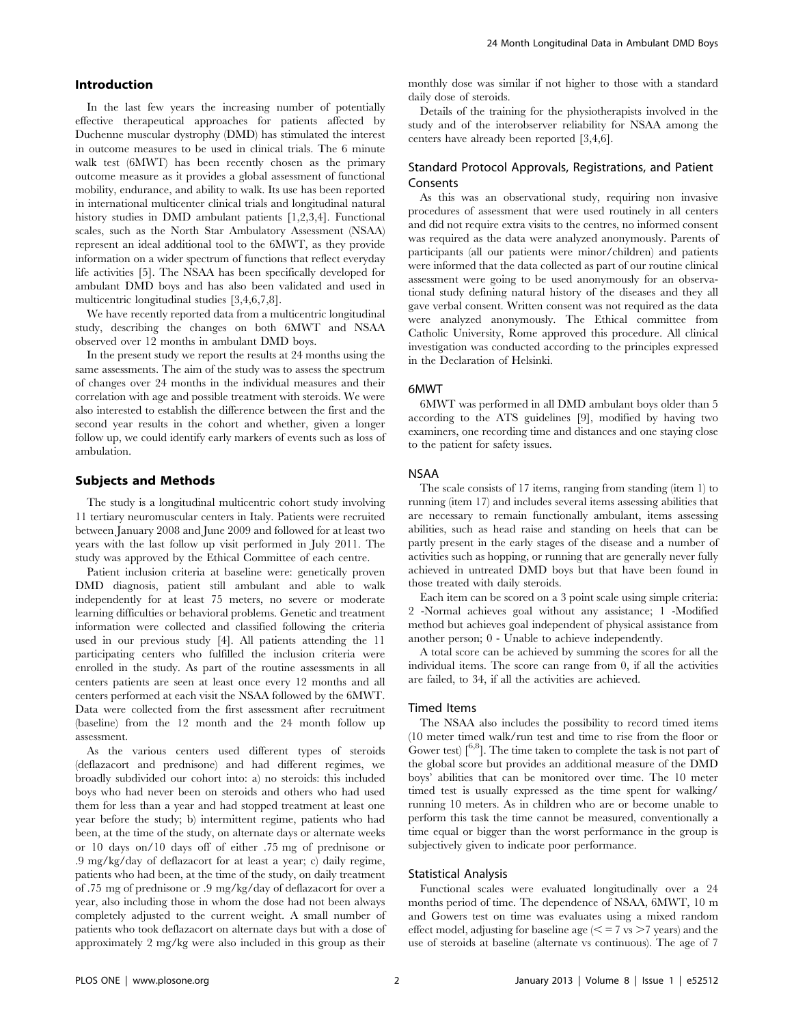## Introduction

In the last few years the increasing number of potentially effective therapeutical approaches for patients affected by Duchenne muscular dystrophy (DMD) has stimulated the interest in outcome measures to be used in clinical trials. The 6 minute walk test (6MWT) has been recently chosen as the primary outcome measure as it provides a global assessment of functional mobility, endurance, and ability to walk. Its use has been reported in international multicenter clinical trials and longitudinal natural history studies in DMD ambulant patients [1,2,3,4]. Functional scales, such as the North Star Ambulatory Assessment (NSAA) represent an ideal additional tool to the 6MWT, as they provide information on a wider spectrum of functions that reflect everyday life activities [5]. The NSAA has been specifically developed for ambulant DMD boys and has also been validated and used in multicentric longitudinal studies [3,4,6,7,8].

We have recently reported data from a multicentric longitudinal study, describing the changes on both 6MWT and NSAA observed over 12 months in ambulant DMD boys.

In the present study we report the results at 24 months using the same assessments. The aim of the study was to assess the spectrum of changes over 24 months in the individual measures and their correlation with age and possible treatment with steroids. We were also interested to establish the difference between the first and the second year results in the cohort and whether, given a longer follow up, we could identify early markers of events such as loss of ambulation.

#### Subjects and Methods

The study is a longitudinal multicentric cohort study involving 11 tertiary neuromuscular centers in Italy. Patients were recruited between January 2008 and June 2009 and followed for at least two years with the last follow up visit performed in July 2011. The study was approved by the Ethical Committee of each centre.

Patient inclusion criteria at baseline were: genetically proven DMD diagnosis, patient still ambulant and able to walk independently for at least 75 meters, no severe or moderate learning difficulties or behavioral problems. Genetic and treatment information were collected and classified following the criteria used in our previous study [4]. All patients attending the 11 participating centers who fulfilled the inclusion criteria were enrolled in the study. As part of the routine assessments in all centers patients are seen at least once every 12 months and all centers performed at each visit the NSAA followed by the 6MWT. Data were collected from the first assessment after recruitment (baseline) from the 12 month and the 24 month follow up assessment.

As the various centers used different types of steroids (deflazacort and prednisone) and had different regimes, we broadly subdivided our cohort into: a) no steroids: this included boys who had never been on steroids and others who had used them for less than a year and had stopped treatment at least one year before the study; b) intermittent regime, patients who had been, at the time of the study, on alternate days or alternate weeks or 10 days on/10 days off of either .75 mg of prednisone or .9 mg/kg/day of deflazacort for at least a year; c) daily regime, patients who had been, at the time of the study, on daily treatment of .75 mg of prednisone or .9 mg/kg/day of deflazacort for over a year, also including those in whom the dose had not been always completely adjusted to the current weight. A small number of patients who took deflazacort on alternate days but with a dose of approximately 2 mg/kg were also included in this group as their monthly dose was similar if not higher to those with a standard daily dose of steroids.

Details of the training for the physiotherapists involved in the study and of the interobserver reliability for NSAA among the centers have already been reported [3,4,6].

## Standard Protocol Approvals, Registrations, and Patient Consents

As this was an observational study, requiring non invasive procedures of assessment that were used routinely in all centers and did not require extra visits to the centres, no informed consent was required as the data were analyzed anonymously. Parents of participants (all our patients were minor/children) and patients were informed that the data collected as part of our routine clinical assessment were going to be used anonymously for an observational study defining natural history of the diseases and they all gave verbal consent. Written consent was not required as the data were analyzed anonymously. The Ethical committee from Catholic University, Rome approved this procedure. All clinical investigation was conducted according to the principles expressed in the Declaration of Helsinki.

#### 6MWT

6MWT was performed in all DMD ambulant boys older than 5 according to the ATS guidelines [9], modified by having two examiners, one recording time and distances and one staying close to the patient for safety issues.

## NSAA

The scale consists of 17 items, ranging from standing (item 1) to running (item 17) and includes several items assessing abilities that are necessary to remain functionally ambulant, items assessing abilities, such as head raise and standing on heels that can be partly present in the early stages of the disease and a number of activities such as hopping, or running that are generally never fully achieved in untreated DMD boys but that have been found in those treated with daily steroids.

Each item can be scored on a 3 point scale using simple criteria: 2 -Normal achieves goal without any assistance; 1 -Modified method but achieves goal independent of physical assistance from another person; 0 - Unable to achieve independently.

A total score can be achieved by summing the scores for all the individual items. The score can range from 0, if all the activities are failed, to 34, if all the activities are achieved.

#### Timed Items

The NSAA also includes the possibility to record timed items (10 meter timed walk/run test and time to rise from the floor or Gower test)  $[6.8]$ . The time taken to complete the task is not part of the global score but provides an additional measure of the DMD boys' abilities that can be monitored over time. The 10 meter timed test is usually expressed as the time spent for walking/ running 10 meters. As in children who are or become unable to perform this task the time cannot be measured, conventionally a time equal or bigger than the worst performance in the group is subjectively given to indicate poor performance.

#### Statistical Analysis

Functional scales were evaluated longitudinally over a 24 months period of time. The dependence of NSAA, 6MWT, 10 m and Gowers test on time was evaluates using a mixed random effect model, adjusting for baseline age  $\ll$  = 7 vs > 7 years) and the use of steroids at baseline (alternate vs continuous). The age of 7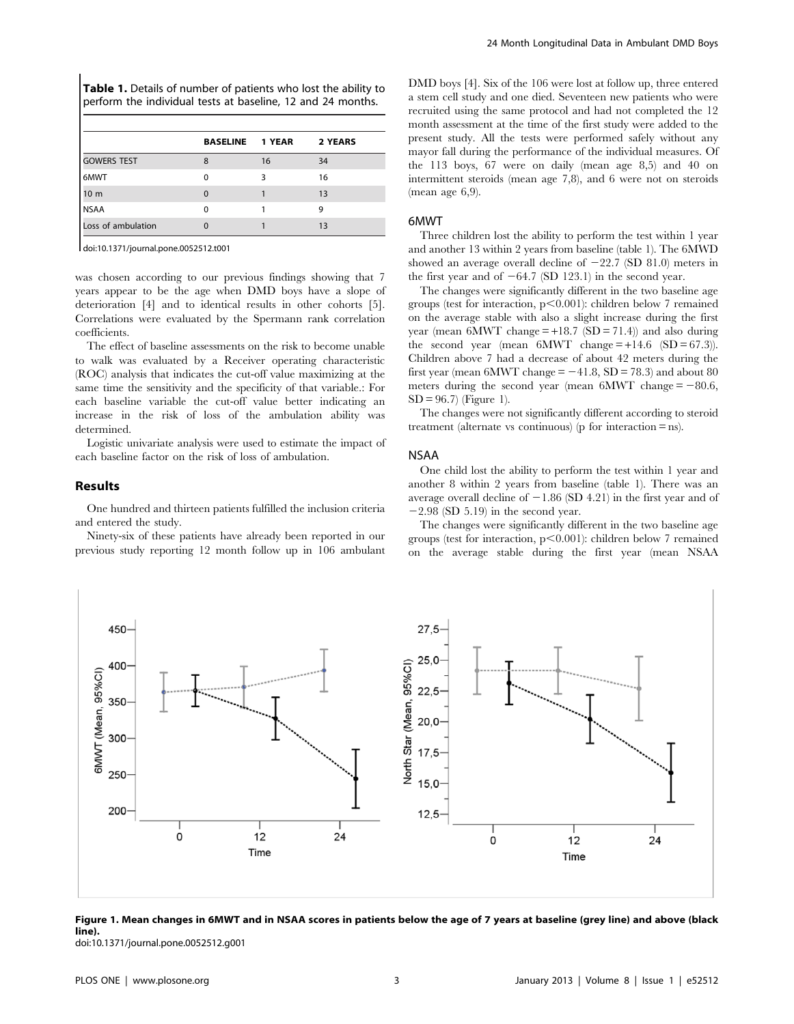Table 1. Details of number of patients who lost the ability to perform the individual tests at baseline, 12 and 24 months.

|                    | <b>BASELINE</b> | 1 YEAR | 2 YEARS |  |
|--------------------|-----------------|--------|---------|--|
| <b>GOWERS TEST</b> | 8               | 16     | 34      |  |
| 6MWT               | $\Omega$        | 3      | 16      |  |
| 10 <sub>m</sub>    | $\Omega$        |        | 13      |  |
| <b>NSAA</b>        | O               |        | 9       |  |
| Loss of ambulation |                 |        | 13      |  |
|                    |                 |        |         |  |

doi:10.1371/journal.pone.0052512.t001

was chosen according to our previous findings showing that 7 years appear to be the age when DMD boys have a slope of deterioration [4] and to identical results in other cohorts [5]. Correlations were evaluated by the Spermann rank correlation coefficients.

The effect of baseline assessments on the risk to become unable to walk was evaluated by a Receiver operating characteristic (ROC) analysis that indicates the cut-off value maximizing at the same time the sensitivity and the specificity of that variable.: For each baseline variable the cut-off value better indicating an increase in the risk of loss of the ambulation ability was determined.

Logistic univariate analysis were used to estimate the impact of each baseline factor on the risk of loss of ambulation.

#### Results

One hundred and thirteen patients fulfilled the inclusion criteria and entered the study.

Ninety-six of these patients have already been reported in our previous study reporting 12 month follow up in 106 ambulant DMD boys [4]. Six of the 106 were lost at follow up, three entered a stem cell study and one died. Seventeen new patients who were recruited using the same protocol and had not completed the 12 month assessment at the time of the first study were added to the present study. All the tests were performed safely without any mayor fall during the performance of the individual measures. Of the 113 boys, 67 were on daily (mean age 8,5) and 40 on intermittent steroids (mean age 7,8), and 6 were not on steroids (mean age 6,9).

#### 6MWT

Three children lost the ability to perform the test within 1 year and another 13 within 2 years from baseline (table 1). The 6MWD showed an average overall decline of  $-22.7$  (SD 81.0) meters in the first year and of  $-64.7$  (SD 123.1) in the second year.

The changes were significantly different in the two baseline age groups (test for interaction,  $p<0.001$ ): children below 7 remained on the average stable with also a slight increase during the first year (mean  $6MWT$  change = +18.7 (SD = 71.4)) and also during the second year (mean  $6MWT$  change  $= +14.6$   $(SD = 67.3)$ ). Children above 7 had a decrease of about 42 meters during the first year (mean 6MWT change  $= -41.8$ , SD = 78.3) and about 80 meters during the second year (mean  $6MWT$  change  $= -80.6$ ,  $SD = 96.7$  (Figure 1).

The changes were not significantly different according to steroid treatment (alternate vs continuous) (p for interaction  $=$  ns).

#### NSAA

One child lost the ability to perform the test within 1 year and another 8 within 2 years from baseline (table 1). There was an average overall decline of  $-1.86$  (SD 4.21) in the first year and of  $-2.98$  (SD 5.19) in the second year.

The changes were significantly different in the two baseline age groups (test for interaction,  $p<0.001$ ): children below 7 remained on the average stable during the first year (mean NSAA



Figure 1. Mean changes in 6MWT and in NSAA scores in patients below the age of 7 years at baseline (grey line) and above (black line).

doi:10.1371/journal.pone.0052512.g001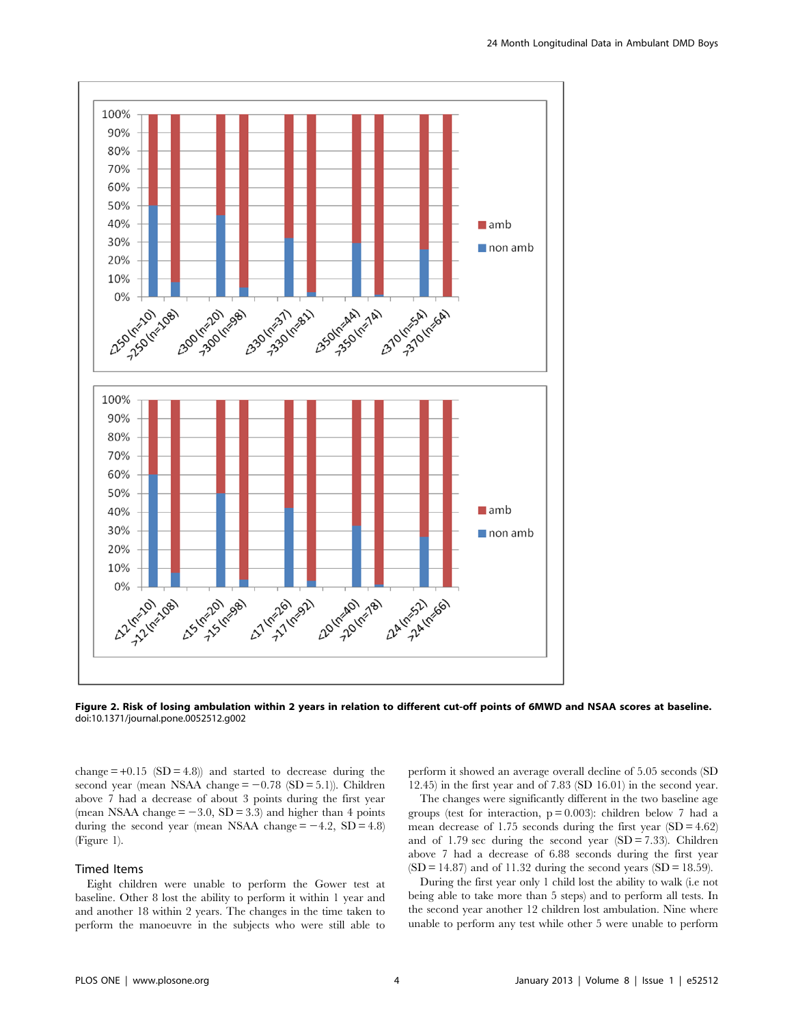

Figure 2. Risk of losing ambulation within 2 years in relation to different cut-off points of 6MWD and NSAA scores at baseline. doi:10.1371/journal.pone.0052512.g002

change  $=+0.15$  (SD  $=4.8$ )) and started to decrease during the second year (mean NSAA change  $= -0.78$  (SD  $= 5.1$ )). Children above 7 had a decrease of about 3 points during the first year (mean NSAA change  $= -3.0$ , SD  $= 3.3$ ) and higher than 4 points during the second year (mean NSAA change  $= -4.2$ , SD  $= 4.8$ ) (Figure 1).

#### Timed Items

Eight children were unable to perform the Gower test at baseline. Other 8 lost the ability to perform it within 1 year and and another 18 within 2 years. The changes in the time taken to perform the manoeuvre in the subjects who were still able to perform it showed an average overall decline of 5.05 seconds (SD 12.45) in the first year and of 7.83 (SD 16.01) in the second year.

The changes were significantly different in the two baseline age groups (test for interaction,  $p = 0.003$ ): children below 7 had a mean decrease of 1.75 seconds during the first year  $(SD = 4.62)$ and of 1.79 sec during the second year  $(SD = 7.33)$ . Children above 7 had a decrease of 6.88 seconds during the first year  $(SD = 14.87)$  and of 11.32 during the second years  $(SD = 18.59)$ .

During the first year only 1 child lost the ability to walk (i.e not being able to take more than 5 steps) and to perform all tests. In the second year another 12 children lost ambulation. Nine where unable to perform any test while other 5 were unable to perform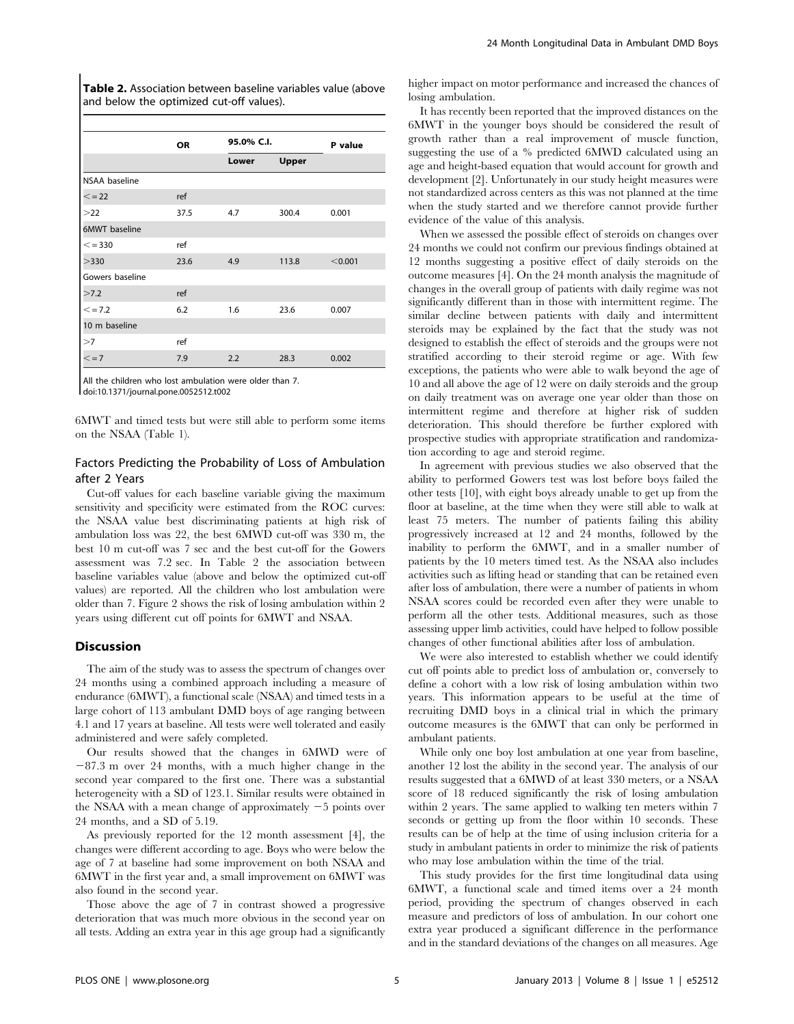Table 2. Association between baseline variables value (above and below the optimized cut-off values).

|                      | <b>OR</b> | 95.0% C.I. |       | P value |
|----------------------|-----------|------------|-------|---------|
|                      |           | Lower      | Upper |         |
| NSAA baseline        |           |            |       |         |
| $\leq$ = 22          | ref       |            |       |         |
| >22                  | 37.5      | 4.7        | 300.4 | 0.001   |
| <b>6MWT</b> baseline |           |            |       |         |
| $\leq$ = 330         | ref       |            |       |         |
| >330                 | 23.6      | 4.9        | 113.8 | < 0.001 |
| Gowers baseline      |           |            |       |         |
| >7.2                 | ref       |            |       |         |
| $\leq$ = 7.2         | 6.2       | 1.6        | 23.6  | 0.007   |
| 10 m baseline        |           |            |       |         |
| >7                   | ref       |            |       |         |
| $\leq$ = 7           | 7.9       | 2.2        | 28.3  | 0.002   |

All the children who lost ambulation were older than 7. doi:10.1371/journal.pone.0052512.t002

6MWT and timed tests but were still able to perform some items on the NSAA (Table 1).

# Factors Predicting the Probability of Loss of Ambulation after 2 Years

Cut-off values for each baseline variable giving the maximum sensitivity and specificity were estimated from the ROC curves: the NSAA value best discriminating patients at high risk of ambulation loss was 22, the best 6MWD cut-off was 330 m, the best 10 m cut-off was 7 sec and the best cut-off for the Gowers assessment was 7.2 sec. In Table 2 the association between baseline variables value (above and below the optimized cut-off values) are reported. All the children who lost ambulation were older than 7. Figure 2 shows the risk of losing ambulation within 2 years using different cut off points for 6MWT and NSAA.

## **Discussion**

The aim of the study was to assess the spectrum of changes over 24 months using a combined approach including a measure of endurance (6MWT), a functional scale (NSAA) and timed tests in a large cohort of 113 ambulant DMD boys of age ranging between 4.1 and 17 years at baseline. All tests were well tolerated and easily administered and were safely completed.

Our results showed that the changes in 6MWD were of  $-87.3$  m over 24 months, with a much higher change in the second year compared to the first one. There was a substantial heterogeneity with a SD of 123.1. Similar results were obtained in the NSAA with a mean change of approximately  $-5$  points over 24 months, and a SD of 5.19.

As previously reported for the 12 month assessment [4], the changes were different according to age. Boys who were below the age of 7 at baseline had some improvement on both NSAA and 6MWT in the first year and, a small improvement on 6MWT was also found in the second year.

Those above the age of 7 in contrast showed a progressive deterioration that was much more obvious in the second year on all tests. Adding an extra year in this age group had a significantly higher impact on motor performance and increased the chances of losing ambulation.

It has recently been reported that the improved distances on the 6MWT in the younger boys should be considered the result of growth rather than a real improvement of muscle function, suggesting the use of a % predicted 6MWD calculated using an age and height-based equation that would account for growth and development [2]. Unfortunately in our study height measures were not standardized across centers as this was not planned at the time when the study started and we therefore cannot provide further evidence of the value of this analysis.

When we assessed the possible effect of steroids on changes over 24 months we could not confirm our previous findings obtained at 12 months suggesting a positive effect of daily steroids on the outcome measures [4]. On the 24 month analysis the magnitude of changes in the overall group of patients with daily regime was not significantly different than in those with intermittent regime. The similar decline between patients with daily and intermittent steroids may be explained by the fact that the study was not designed to establish the effect of steroids and the groups were not stratified according to their steroid regime or age. With few exceptions, the patients who were able to walk beyond the age of 10 and all above the age of 12 were on daily steroids and the group on daily treatment was on average one year older than those on intermittent regime and therefore at higher risk of sudden deterioration. This should therefore be further explored with prospective studies with appropriate stratification and randomization according to age and steroid regime.

In agreement with previous studies we also observed that the ability to performed Gowers test was lost before boys failed the other tests [10], with eight boys already unable to get up from the floor at baseline, at the time when they were still able to walk at least 75 meters. The number of patients failing this ability progressively increased at 12 and 24 months, followed by the inability to perform the 6MWT, and in a smaller number of patients by the 10 meters timed test. As the NSAA also includes activities such as lifting head or standing that can be retained even after loss of ambulation, there were a number of patients in whom NSAA scores could be recorded even after they were unable to perform all the other tests. Additional measures, such as those assessing upper limb activities, could have helped to follow possible changes of other functional abilities after loss of ambulation.

We were also interested to establish whether we could identify cut off points able to predict loss of ambulation or, conversely to define a cohort with a low risk of losing ambulation within two years. This information appears to be useful at the time of recruiting DMD boys in a clinical trial in which the primary outcome measures is the 6MWT that can only be performed in ambulant patients.

While only one boy lost ambulation at one year from baseline, another 12 lost the ability in the second year. The analysis of our results suggested that a 6MWD of at least 330 meters, or a NSAA score of 18 reduced significantly the risk of losing ambulation within 2 years. The same applied to walking ten meters within 7 seconds or getting up from the floor within 10 seconds. These results can be of help at the time of using inclusion criteria for a study in ambulant patients in order to minimize the risk of patients who may lose ambulation within the time of the trial.

This study provides for the first time longitudinal data using 6MWT, a functional scale and timed items over a 24 month period, providing the spectrum of changes observed in each measure and predictors of loss of ambulation. In our cohort one extra year produced a significant difference in the performance and in the standard deviations of the changes on all measures. Age